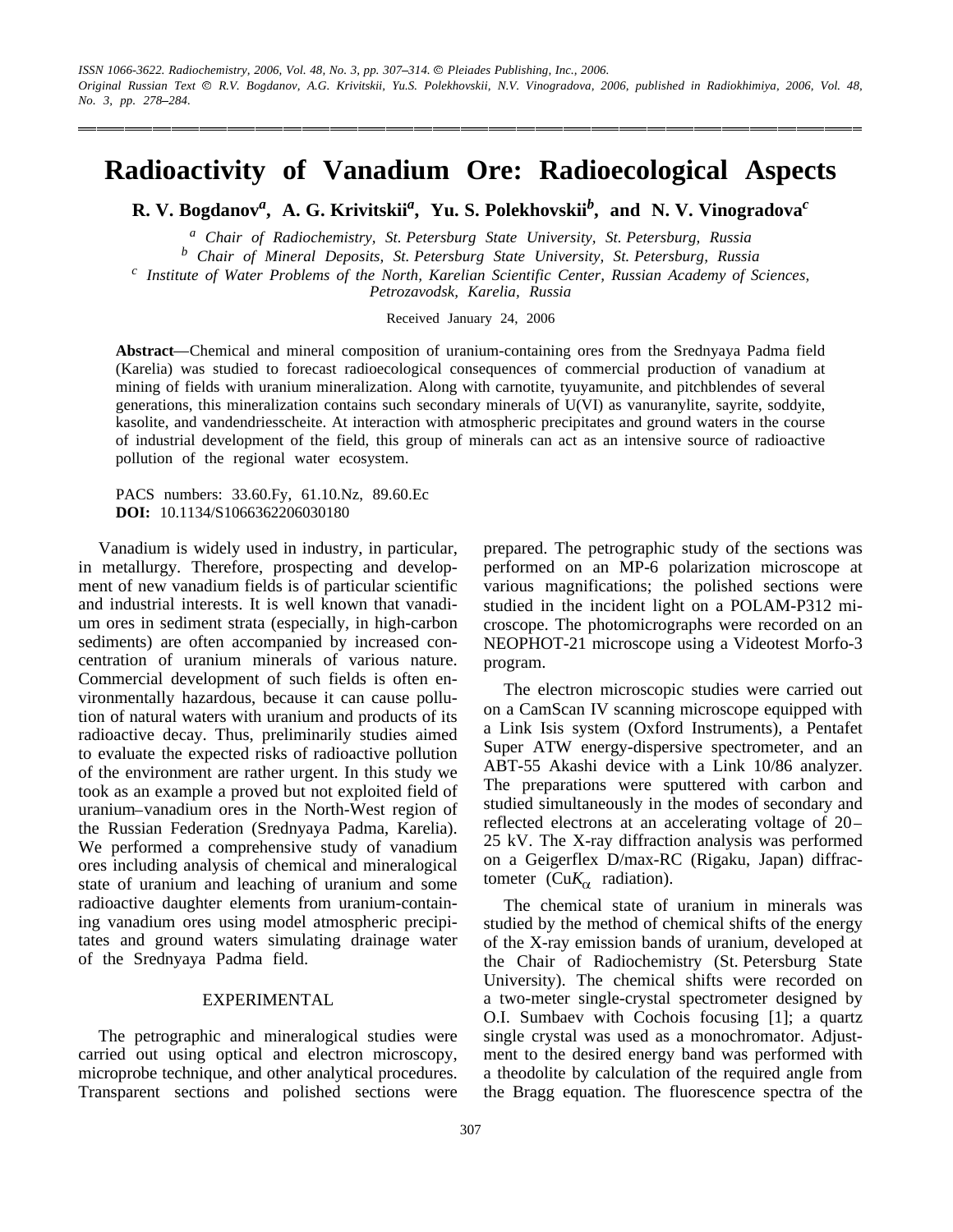# **Radioactivity of Vanadium Ore: Radioecological Aspects**

**R. V. Bogdanov***<sup>a</sup>* **, A. G. Krivitskii***<sup>a</sup>* **, Yu. S. Polekhovskii***<sup>b</sup>* **, and N. V. Vinogradova***<sup>c</sup>*

*<sup>a</sup> Chair of Radiochemistry, St. Petersburg State University, St. Petersburg, Russia*

<sup>c</sup> Institute of Water Problems of the North, Karelian Scientific Center, Russian Academy of Sciences,

*Petrozavodsk, Karelia, Russia*

Received January 24, 2006

Abstract—Chemical and mineral composition of uranium-containing ores from the Srednyaya Padma field (Karelia) was studied to forecast radioecological consequences of commercial production of vanadium at mining of fields with uranium mineralization. Along with carnotite, tyuyamunite, and pitchblendes of several generations, this mineralization contains such secondary minerals of U(VI) as vanuranylite, sayrite, soddyite, kasolite, and vandendriesscheite. At interaction with atmospheric precipitates and ground waters in the course of industrial development of the field, this group of minerals can act as an intensive source of radioactive pollution of the regional water ecosystem.

PACS numbers: 33.60.Fy, 61.10.Nz, 89.60.Ec **DOI:** 10.1134/S1066362206030180

Vanadium is widely used in industry, in particular, in metallurgy. Therefore, prospecting and development of new vanadium fields is of particular scientific and industrial interests. It is well known that vanadium ores in sediment strata (especially, in high-carbon sediments) are often accompanied by increased concentration of uranium minerals of various nature. Commercial development of such fields is often environmentally hazardous, because it can cause pollution of natural waters with uranium and products of its radioactive decay. Thus, preliminarily studies aimed to evaluate the expected risks of radioactive pollution of the environment are rather urgent. In this study we took as an example a proved but not exploited field of uranium-vanadium ores in the North-West region of the Russian Federation (Srednyaya Padma, Karelia). We performed a comprehensive study of vanadium ores including analysis of chemical and mineralogical state of uranium and leaching of uranium and some radioactive daughter elements from uranium-containing vanadium ores using model atmospheric precipitates and ground waters simulating drainage water of the Srednyaya Padma field.

# EXPERIMENTAL

The petrographic and mineralogical studies were carried out using optical and electron microscopy, microprobe technique, and other analytical procedures. Transparent sections and polished sections were

prepared. The petrographic study of the sections was performed on an MP-6 polarization microscope at various magnifications; the polished sections were studied in the incident light on a POLAM-P312 microscope. The photomicrographs were recorded on an NEOPHOT-21 microscope using a Videotest Morfo-3 program.

The electron microscopic studies were carried out on a CamScan IV scanning microscope equipped with a Link Isis system (Oxford Instruments), a Pentafet Super ATW energy-dispersive spectrometer, and an ABT-55 Akashi device with a Link 10/86 analyzer. The preparations were sputtered with carbon and studied simultaneously in the modes of secondary and reflected electrons at an accelerating voltage of 20 25 kV. The X-ray diffraction analysis was performed on a Geigerflex D/max-RC (Rigaku, Japan) diffractometer (Cu $K_{\alpha}$  radiation).

The chemical state of uranium in minerals was studied by the method of chemical shifts of the energy of the X-ray emission bands of uranium, developed at the Chair of Radiochemistry (St. Petersburg State University). The chemical shifts were recorded on a two-meter single-crystal spectrometer designed by O.I. Sumbaev with Cochois focusing [1]; a quartz single crystal was used as a monochromator. Adjustment to the desired energy band was performed with a theodolite by calculation of the required angle from the Bragg equation. The fluorescence spectra of the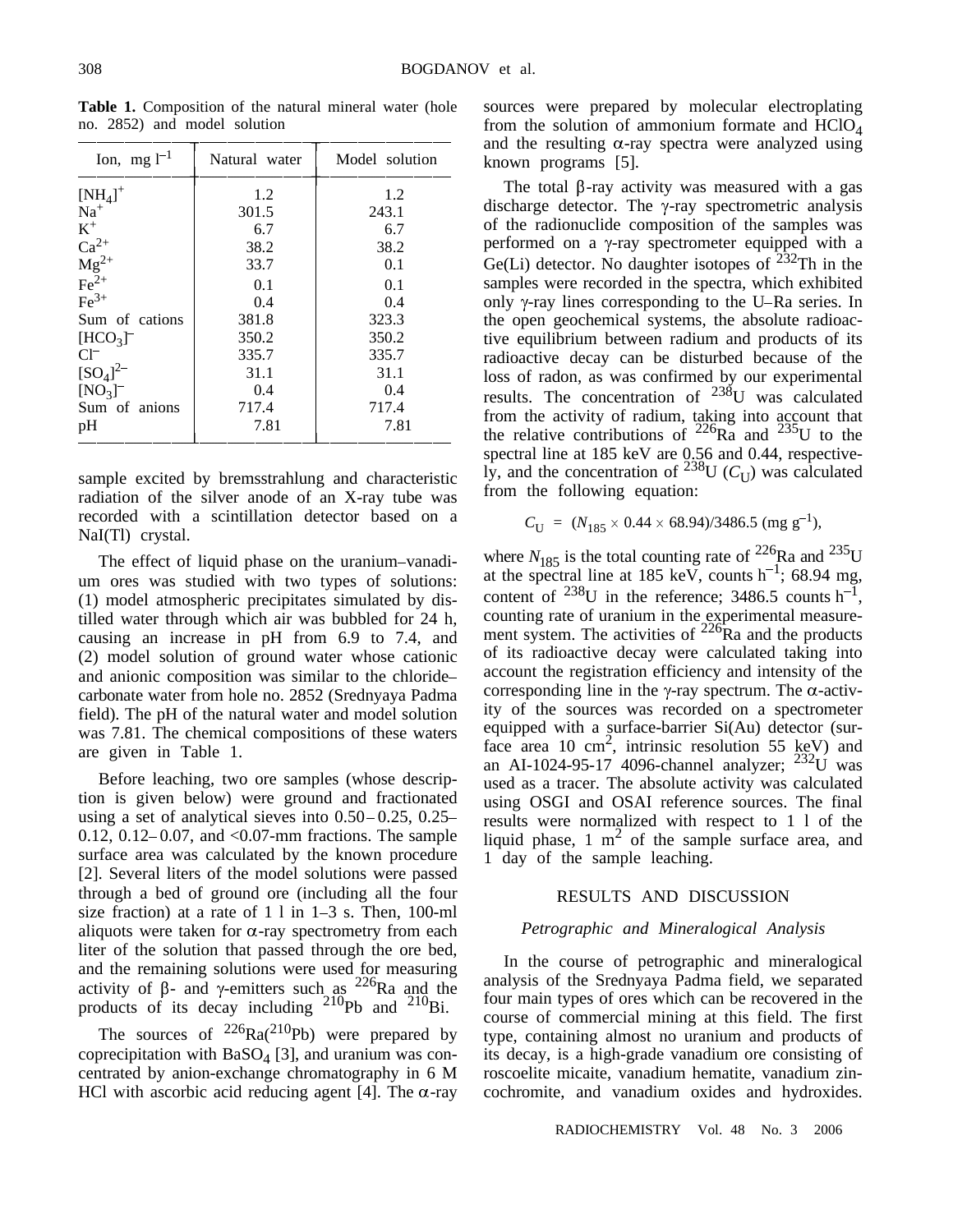| Ion, mg $l^{-1}$                        | Natural water | Model solution |
|-----------------------------------------|---------------|----------------|
| $\mbox{[NH}_{4]}^+$                     | 1.2           | 1.2            |
| $Na+$                                   | 301.5         | 243.1          |
| $K^+$                                   | 6.7           | 6.7            |
| $Ca^{2+}$                               | 38.2          | 38.2           |
|                                         | 33.7          | 0.1            |
| $\frac{\text{Mg}^{2+}}{\text{Fe}^{2+}}$ | 0.1           | 0.1            |
| $Fe3+$                                  | 0.4           | 0.4            |
| Sum of cations                          | 381.8         | 323.3          |
| $[HCO3]$ <sup>-</sup>                   | 350.2         | 350.2          |
| $Cl^-$                                  | 335.7         | 335.7          |
| $[SO_4]^{2-}$                           | 31.1          | 31.1           |
| $[NO3]$ <sup>-</sup>                    | 0.4           | 0.4            |
| Sum of anions                           | 717.4         | 717.4          |
| pH                                      | 7.81          | 7.81           |

**Table 1.** Composition of the natural mineral water (hole no. 2852) and model solution

sample excited by bremsstrahlung and characteristic radiation of the silver anode of an X-ray tube was recorded with a scintillation detector based on a NaI(Tl) crystal.

The effect of liquid phase on the uranium-vanadium ores was studied with two types of solutions: (1) model atmospheric precipitates simulated by distilled water through which air was bubbled for 24 h, causing an increase in pH from 6.9 to 7.4, and (2) model solution of ground water whose cationic and anionic composition was similar to the chloride carbonate water from hole no. 2852 (Srednyaya Padma field). The pH of the natural water and model solution was 7.81. The chemical compositions of these waters are given in Table 1.

Before leaching, two ore samples (whose description is given below) were ground and fractionated using a set of analytical sieves into  $0.50 - 0.25$ ,  $0.25 -$ 0.12, 0.12–0.07, and  $< 0.07$ -mm fractions. The sample surface area was calculated by the known procedure [2]. Several liters of the model solutions were passed through a bed of ground ore (including all the four size fraction) at a rate of  $1 \text{ l}$  in  $1-3 \text{ s}$ . Then, 100-ml aliquots were taken for  $\alpha$ -ray spectrometry from each liter of the solution that passed through the ore bed, and the remaining solutions were used for measuring activity of  $\beta$ - and  $\gamma$ -emitters such as <sup>226</sup>Ra and the products of its decay including  $^{210}Pb$  and  $^{210}Bi$ .

The sources of  $^{226}Ra(^{210}Pb)$  were prepared by coprecipitation with  $BaSO<sub>4</sub>$  [3], and uranium was concentrated by anion-exchange chromatography in 6 M HCl with ascorbic acid reducing agent [4]. The  $\alpha$ -ray sources were prepared by molecular electroplating from the solution of ammonium formate and  $HClO<sub>4</sub>$ and the resulting  $\alpha$ -ray spectra were analyzed using known programs [5].

The total  $\beta$ -ray activity was measured with a gas discharge detector. The  $\gamma$ -ray spectrometric analysis of the radionuclide composition of the samples was performed on a  $\gamma$ -ray spectrometer equipped with a Ge(Li) detector. No daughter isotopes of  $232$ Th in the samples were recorded in the spectra, which exhibited only  $\gamma$ -ray lines corresponding to the U–Ra series. In the open geochemical systems, the absolute radioactive equilibrium between radium and products of its radioactive decay can be disturbed because of the loss of radon, as was confirmed by our experimental results. The concentration of  $^{238}$ U was calculated from the activity of radium, taking into account that the relative contributions of  $^{226}$ Ra and  $^{235}$ U to the spectral line at 185 keV are 0.56 and 0.44, respectively, and the concentration of <sup>238</sup>U ( $C_{\text{U}}$ ) was calculated from the following equation:

$$
C_{\rm U} = (N_{185} \times 0.44 \times 68.94)/3486.5 \, (\text{mg g}^{-1}),
$$

where  $N_{185}$  is the total counting rate of <sup>226</sup>Ra and <sup>235</sup>U at the spectral line at 185 keV, counts  $h^{-1}$ ; 68.94 mg, content of  $238$ U in the reference; 3486.5 counts h<sup>-1</sup>, counting rate of uranium in the experimental measurement system. The activities of  $^{226}$ Ra and the products of its radioactive decay were calculated taking into account the registration efficiency and intensity of the corresponding line in the  $\gamma$ -ray spectrum. The  $\alpha$ -activity of the sources was recorded on a spectrometer equipped with a surface-barrier Si(Au) detector (surface area 10 cm<sup>2</sup>, intrinsic resolution 55 keV) and an AI-1024-95-17 4096-channel analyzer;  $^{232}$ U was used as a tracer. The absolute activity was calculated using OSGI and OSAI reference sources. The final results were normalized with respect to 1 l of the liquid phase,  $1 \text{ m}^2$  of the sample surface area, and 1 day of the sample leaching.

## RESULTS AND DISCUSSION

## *Petrographic and Mineralogical Analysis*

In the course of petrographic and mineralogical analysis of the Srednyaya Padma field, we separated four main types of ores which can be recovered in the course of commercial mining at this field. The first type, containing almost no uranium and products of its decay, is a high-grade vanadium ore consisting of roscoelite micaite, vanadium hematite, vanadium zincochromite, and vanadium oxides and hydroxides.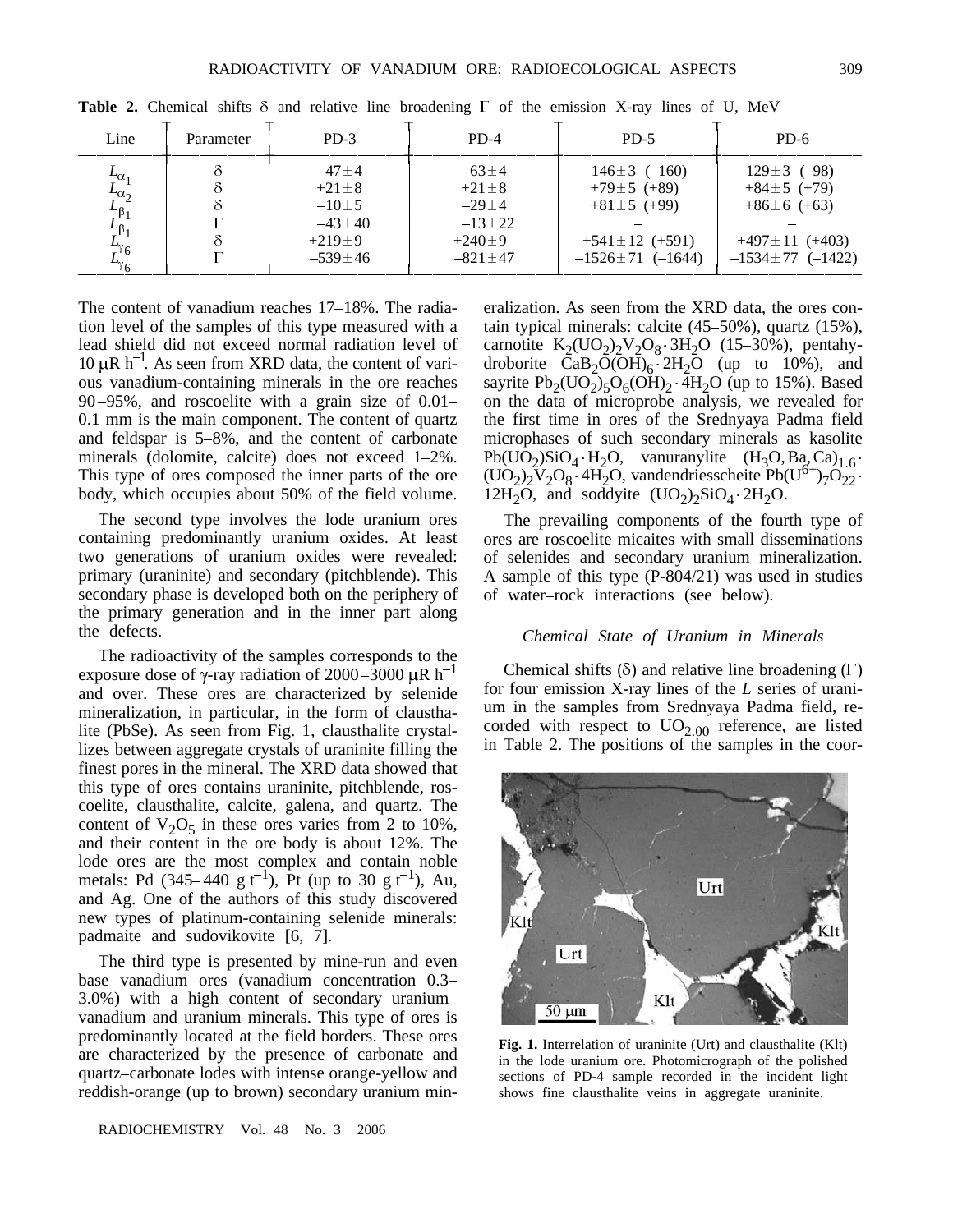| Line                                                                     | Parameter | $PD-3$        | $PD-4$        | $PD-5$                 | $PD-6$                 |
|--------------------------------------------------------------------------|-----------|---------------|---------------|------------------------|------------------------|
|                                                                          |           | $-47+4$       | $-63+4$       | $-146\pm3$ (-160)      | $-129 \pm 3$ (-98)     |
| $\begin{array}{l} L_{\alpha_1} \ L_{\alpha_2} \ L_{\beta_1} \end{array}$ |           | $+21 \pm 8$   | $+21+8$       | $+79 \pm 5$ (+89)      | $+84 \pm 5 (+79)$      |
|                                                                          |           | $-10+5$       | $-29+4$       | $+81 \pm 5$ (+99)      | $+86\pm6$ (+63)        |
|                                                                          |           | $-43 + 40$    | $-13 + 22$    |                        |                        |
|                                                                          |           | $+219+9$      | $+240+9$      | $+541 \pm 12$ (+591)   | $+497 \pm 11$ (+403)   |
|                                                                          |           | $-539 \pm 46$ | $-821 \pm 47$ | $-1526 \pm 71$ (-1644) | $-1534 \pm 77$ (-1422) |

**Table 2.** Chemical shifts  $\delta$  and relative line broadening  $\Gamma$  of the emission X-ray lines of U, MeV

The content of vanadium reaches  $17-18\%$ . The radiation level of the samples of this type measured with a lead shield did not exceed normal radiation level of 10  $\mu$ R h<sup>-1</sup>. As seen from XRD data, the content of various vanadium-containing minerals in the ore reaches 90 95%, and roscoelite with a grain size of 0.01 0.1 mm is the main component. The content of quartz and feldspar is  $5-8\%$ , and the content of carbonate minerals (dolomite, calcite) does not exceed  $1-2\%$ . This type of ores composed the inner parts of the ore body, which occupies about 50% of the field volume.

The second type involves the lode uranium ores containing predominantly uranium oxides. At least two generations of uranium oxides were revealed: primary (uraninite) and secondary (pitchblende). This secondary phase is developed both on the periphery of the primary generation and in the inner part along the defects.

The radioactivity of the samples corresponds to the exposure dose of  $\gamma$ -ray radiation of 2000–3000  $\mu$ R h<sup>-1</sup> and over. These ores are characterized by selenide mineralization, in particular, in the form of clausthalite (PbSe). As seen from Fig. 1, clausthalite crystallizes between aggregate crystals of uraninite filling the finest pores in the mineral. The XRD data showed that this type of ores contains uraninite, pitchblende, roscoelite, clausthalite, calcite, galena, and quartz. The content of  $V_2O_5$  in these ores varies from 2 to 10%, and their content in the ore body is about 12%. The lode ores are the most complex and contain noble metals: Pd  $(345-440 \text{ g t}^{-1})$ , Pt (up to 30 g t<sup>-1</sup>), Au, and Ag. One of the authors of this study discovered new types of platinum-containing selenide minerals: padmaite and sudovikovite [6, 7].

The third type is presented by mine-run and even base vanadium ores (vanadium concentration 0.3 3.0%) with a high content of secondary uranium vanadium and uranium minerals. This type of ores is predominantly located at the field borders. These ores are characterized by the presence of carbonate and quartz–carbonate lodes with intense orange-yellow and reddish-orange (up to brown) secondary uranium min-

RADIOCHEMISTRY Vol. 48 No. 3 2006

eralization. As seen from the XRD data, the ores contain typical minerals: calcite  $(45-50\%)$ , quartz  $(15\%)$ , carnotite  $K_2({UO_2})_2V_2O_8$  3H<sub>2</sub>O (15-30%), pentahydroborite  $CaB_2O(OH)_6 \cdot 2H_2O$  (up to 10%), and sayrite  $Pb_2(UO_2)_5O_6(OH)_2$  4H<sub>2</sub>O (up to 15%). Based on the data of microprobe analysis, we revealed for the first time in ores of the Srednyaya Padma field microphases of such secondary minerals as kasolite Pb(UO<sub>2</sub>)SiO<sub>4</sub> H<sub>2</sub>O, vanuranylite  $(H_3O, Ba, Ca)_{1.6}$ .  $(UO_2)_2\overline{V}_2O_8$  4H<sub>2</sub>O, vandendriesscheite Pb(U<sup>6+</sup>)<sub>7</sub>O<sub>22</sub>. 12H<sub>2</sub>O, and soddyite  $(UO_2)_2SiO_4$  2H<sub>2</sub>O.

The prevailing components of the fourth type of ores are roscoelite micaites with small disseminations of selenides and secondary uranium mineralization. A sample of this type (P-804/21) was used in studies of water-rock interactions (see below).

### *Chemical State of Uranium in Minerals*

Chemical shifts  $(\delta)$  and relative line broadening  $(\Gamma)$ for four emission X-ray lines of the *L* series of uranium in the samples from Srednyaya Padma field, recorded with respect to  $UO_{2.00}$  reference, are listed in Table 2. The positions of the samples in the coor-



**Fig. 1.** Interrelation of uraninite (Urt) and clausthalite (Klt) in the lode uranium ore. Photomicrograph of the polished sections of PD-4 sample recorded in the incident light shows fine clausthalite veins in aggregate uraninite.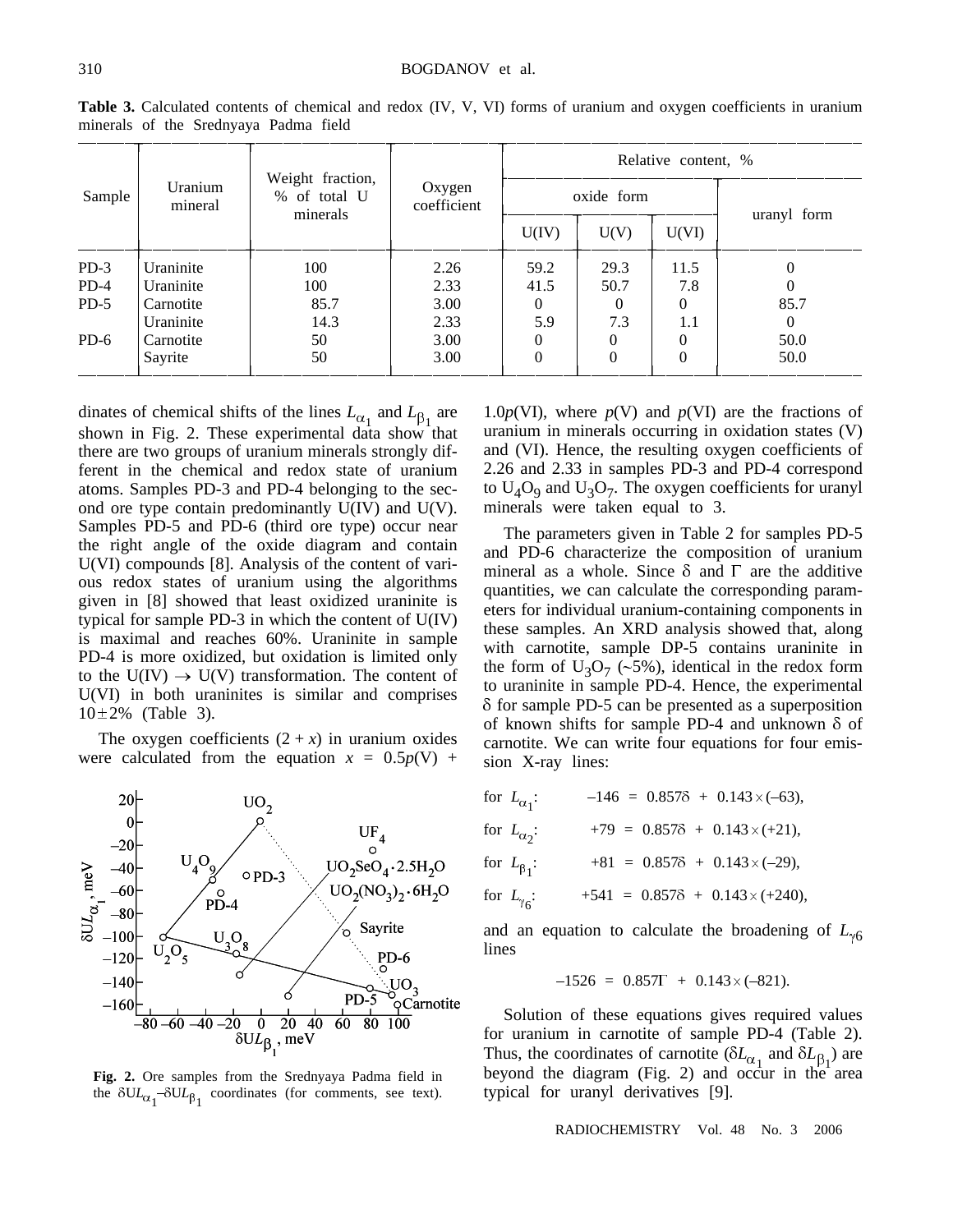| Uranium<br>Sample<br>mineral |                                              |                       |            | Relative content, % |          |             |          |
|------------------------------|----------------------------------------------|-----------------------|------------|---------------------|----------|-------------|----------|
|                              | Weight fraction,<br>% of total U<br>minerals | Oxygen<br>coefficient | oxide form |                     |          |             |          |
|                              |                                              |                       | U(IV)      | U(V)                | U(VI)    | uranyl form |          |
| $PD-3$                       | Uraninite                                    | 100                   | 2.26       | 59.2                | 29.3     | 11.5        | $\theta$ |
| $PD-4$                       | Uraninite                                    | 100                   | 2.33       | 41.5                | 50.7     | 7.8         | $\Omega$ |
| $PD-5$                       | Carnotite                                    | 85.7                  | 3.00       | $\theta$            | $\Omega$ | $\Omega$    | 85.7     |
|                              | Uraninite                                    | 14.3                  | 2.33       | 5.9                 | 7.3      | 1.1         | $\theta$ |
| $PD-6$                       | Carnotite                                    | 50                    | 3.00       | $\Omega$            |          | 0           | 50.0     |
|                              | Sayrite                                      | 50                    | 3.00       | $\Omega$            |          | $\theta$    | 50.0     |

**Table 3.** Calculated contents of chemical and redox (IV, V, VI) forms of uranium and oxygen coefficients in uranium minerals of the Srednyaya Padma field

dinates of chemical shifts of the lines  $L_{\alpha_1}$  and  $L_{\beta_1}$  are shown in Fig. 2. These experimental data show that there are two groups of uranium minerals strongly different in the chemical and redox state of uranium atoms. Samples PD-3 and PD-4 belonging to the second ore type contain predominantly U(IV) and U(V). Samples PD-5 and PD-6 (third ore type) occur near the right angle of the oxide diagram and contain U(VI) compounds [8]. Analysis of the content of various redox states of uranium using the algorithms given in [8] showed that least oxidized uraninite is typical for sample PD-3 in which the content of U(IV) is maximal and reaches 60%. Uraninite in sample PD-4 is more oxidized, but oxidation is limited only to the  $U(V) \rightarrow U(V)$  transformation. The content of U(VI) in both uraninites is similar and comprises 10 2% (Table 3).

The oxygen coefficients  $(2 + x)$  in uranium oxides were calculated from the equation  $x = 0.5p(V) +$ 



**Fig. 2.** Ore samples from the Srednyaya Padma field in the  $\delta U L_{\alpha_1} - \delta U L_{\beta_1}$  coordinates (for comments, see text).

1.0 $p(VI)$ , where  $p(V)$  and  $p(VI)$  are the fractions of uranium in minerals occurring in oxidation states (V) and (VI). Hence, the resulting oxygen coefficients of 2.26 and 2.33 in samples PD-3 and PD-4 correspond to  $U_4O_9$  and  $U_3O_7$ . The oxygen coefficients for uranyl minerals were taken equal to 3.

The parameters given in Table 2 for samples PD-5 and PD-6 characterize the composition of uranium mineral as a whole. Since  $\delta$  and  $\Gamma$  are the additive quantities, we can calculate the corresponding parameters for individual uranium-containing components in these samples. An XRD analysis showed that, along with carnotite, sample DP-5 contains uraninite in the form of  $U_3O_7$  (~5%), identical in the redox form to uraninite in sample PD-4. Hence, the experimental  $\delta$  for sample PD-5 can be presented as a superposition of known shifts for sample PD-4 and unknown  $\delta$  of carnotite. We can write four equations for four emission X-ray lines:

| for $L_{\alpha_1}$ : | $-146 = 0.857\delta + 0.143 \times (-63),$ |
|----------------------|--------------------------------------------|
| for $L_{\alpha}$ :   | $+79 = 0.857\delta + 0.143 \times (+21),$  |
| for $L_{\beta_1}$ :  | $+81 = 0.857\delta + 0.143 \times (-29)$ , |
| for $L_{\gamma_6}$ : | $+541 = 0.8578 + 0.143 \times (+240),$     |

and an equation to calculate the broadening of  $L_{\gamma 6}$ lines

$$
-1526 = 0.857\Gamma + 0.143 \times (-821).
$$

Solution of these equations gives required values for uranium in carnotite of sample PD-4 (Table 2). Thus, the coordinates of carnotite  $(\delta L_{\alpha_1}$  and  $\delta L_{\beta_1})$  are beyond the diagram (Fig. 2) and occur in the area typical for uranyl derivatives [9].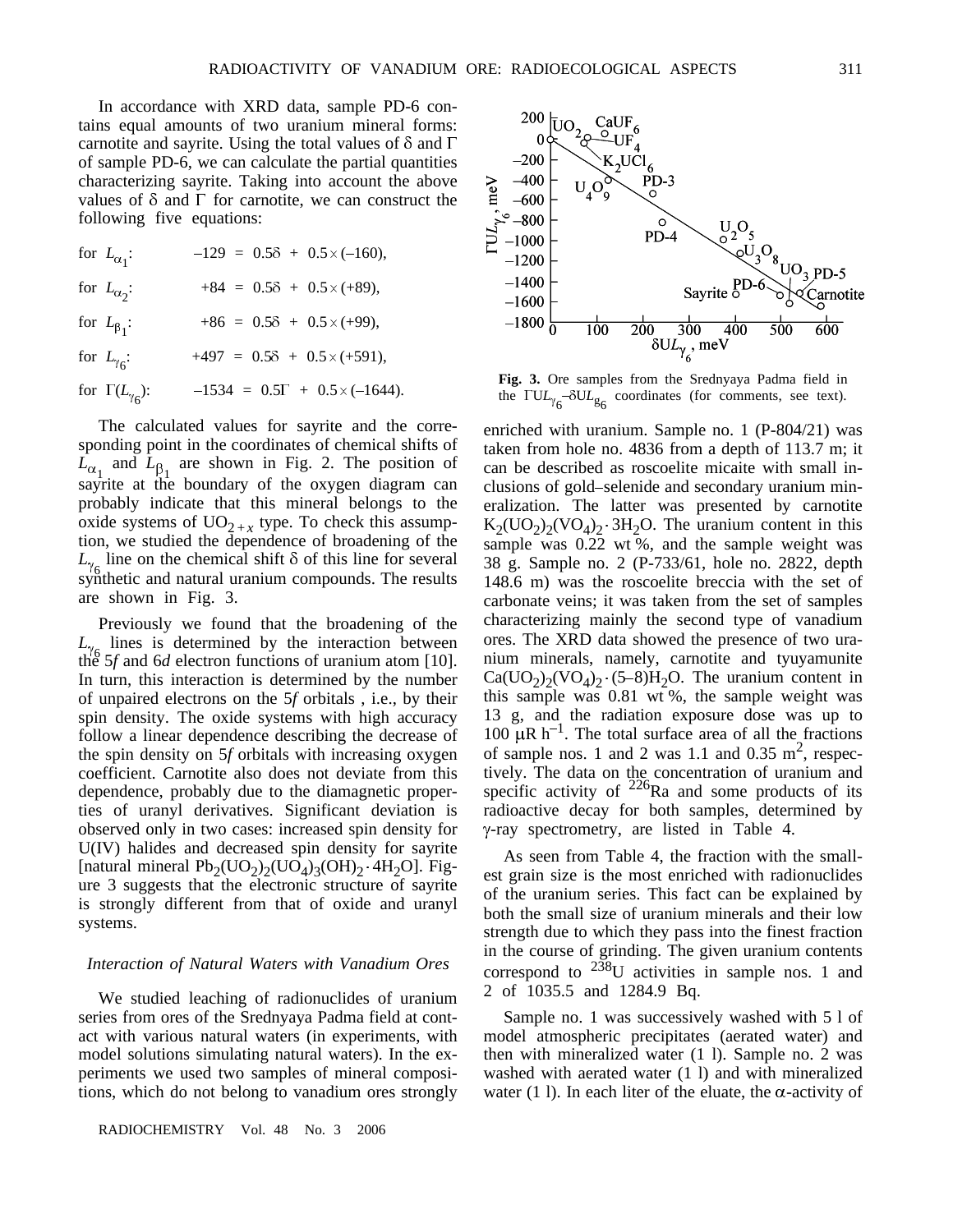for  $L_{\alpha_1}$ : :  $-129 = 0.5\delta + 0.5 \times (-160)$ , for  $L_{\alpha}$ : :  $+84 = 0.5\delta + 0.5 \times (+89),$ for  $L_{\beta_1}$ : :  $+86 = 0.5\delta + 0.5 \times (+99)$ , for  $L_{\gamma_6}$ : :  $+497 = 0.58 + 0.5 \times (+591),$ for  $\Gamma(L_{\gamma_{\epsilon}})$ :  $-1534 = 0.5\Gamma + 0.5 \times (-1644).$ 

following five equations:

The calculated values for sayrite and the corresponding point in the coordinates of chemical shifts of  $L_{\alpha_1}$  and  $L_{\beta_1}$  are shown in Fig. 2. The position of sayrite at the boundary of the oxygen diagram can probably indicate that this mineral belongs to the oxide systems of  $UO_{2+r}$  type. To check this assumption, we studied the dependence of broadening of the  $L_{\gamma_6}$  line on the chemical shift  $\delta$  of this line for several synthetic and natural uranium compounds. The results are shown in Fig. 3.

Previously we found that the broadening of the  $L<sub>v</sub>$  lines is determined by the interaction between the 5*f* and 6*d* electron functions of uranium atom [10]. In turn, this interaction is determined by the number of unpaired electrons on the 5*f* orbitals , i.e., by their spin density. The oxide systems with high accuracy follow a linear dependence describing the decrease of the spin density on 5*f* orbitals with increasing oxygen coefficient. Carnotite also does not deviate from this dependence, probably due to the diamagnetic properties of uranyl derivatives. Significant deviation is observed only in two cases: increased spin density for U(IV) halides and decreased spin density for sayrite [natural mineral  $Pb_2(UO_2)_2(UO_4)_3(OH)_2$  4H<sub>2</sub>O]. Figure 3 suggests that the electronic structure of sayrite is strongly different from that of oxide and uranyl systems.

### *Interaction of Natural Waters with Vanadium Ores*

We studied leaching of radionuclides of uranium series from ores of the Srednyaya Padma field at contact with various natural waters (in experiments, with model solutions simulating natural waters). In the experiments we used two samples of mineral compositions, which do not belong to vanadium ores strongly



**Fig. 3.** Ore samples from the Srednyaya Padma field in the  $\text{TUL}_{\gamma_6}$ - $\delta \text{UL}_{g_6}$  coordinates (for comments, see text).

enriched with uranium. Sample no. 1 (P-804/21) was taken from hole no. 4836 from a depth of 113.7 m; it can be described as roscoelite micaite with small inclusions of gold-selenide and secondary uranium mineralization. The latter was presented by carnotite  $K_2(UO_2)$ <sub>2</sub>(VO<sub>4</sub>)<sub>2</sub> 3H<sub>2</sub>O. The uranium content in this sample was 0.22 wt %, and the sample weight was 38 g. Sample no. 2 (P-733/61, hole no. 2822, depth 148.6 m) was the roscoelite breccia with the set of carbonate veins; it was taken from the set of samples characterizing mainly the second type of vanadium ores. The XRD data showed the presence of two uranium minerals, namely, carnotite and tyuyamunite  $Ca(UO<sub>2</sub>)<sub>2</sub>(VO<sub>4</sub>)<sub>2</sub>$  (5-8)H<sub>2</sub>O. The uranium content in this sample was 0.81 wt %, the sample weight was 13 g, and the radiation exposure dose was up to  $100 \mu R h^{-1}$ . The total surface area of all the fractions of sample nos. 1 and 2 was 1.1 and 0.35 m<sup>2</sup>, respectively. The data on the concentration of uranium and specific activity of  $^{226}$ Ra and some products of its radioactive decay for both samples, determined by -ray spectrometry, are listed in Table 4.

As seen from Table 4, the fraction with the smallest grain size is the most enriched with radionuclides of the uranium series. This fact can be explained by both the small size of uranium minerals and their low strength due to which they pass into the finest fraction in the course of grinding. The given uranium contents correspond to  $^{238}$ U activities in sample nos. 1 and 2 of 1035.5 and 1284.9 Bq.

Sample no. 1 was successively washed with 5 l of model atmospheric precipitates (aerated water) and then with mineralized water (1 l). Sample no. 2 was washed with aerated water (1 l) and with mineralized water (1 l). In each liter of the eluate, the  $\alpha$ -activity of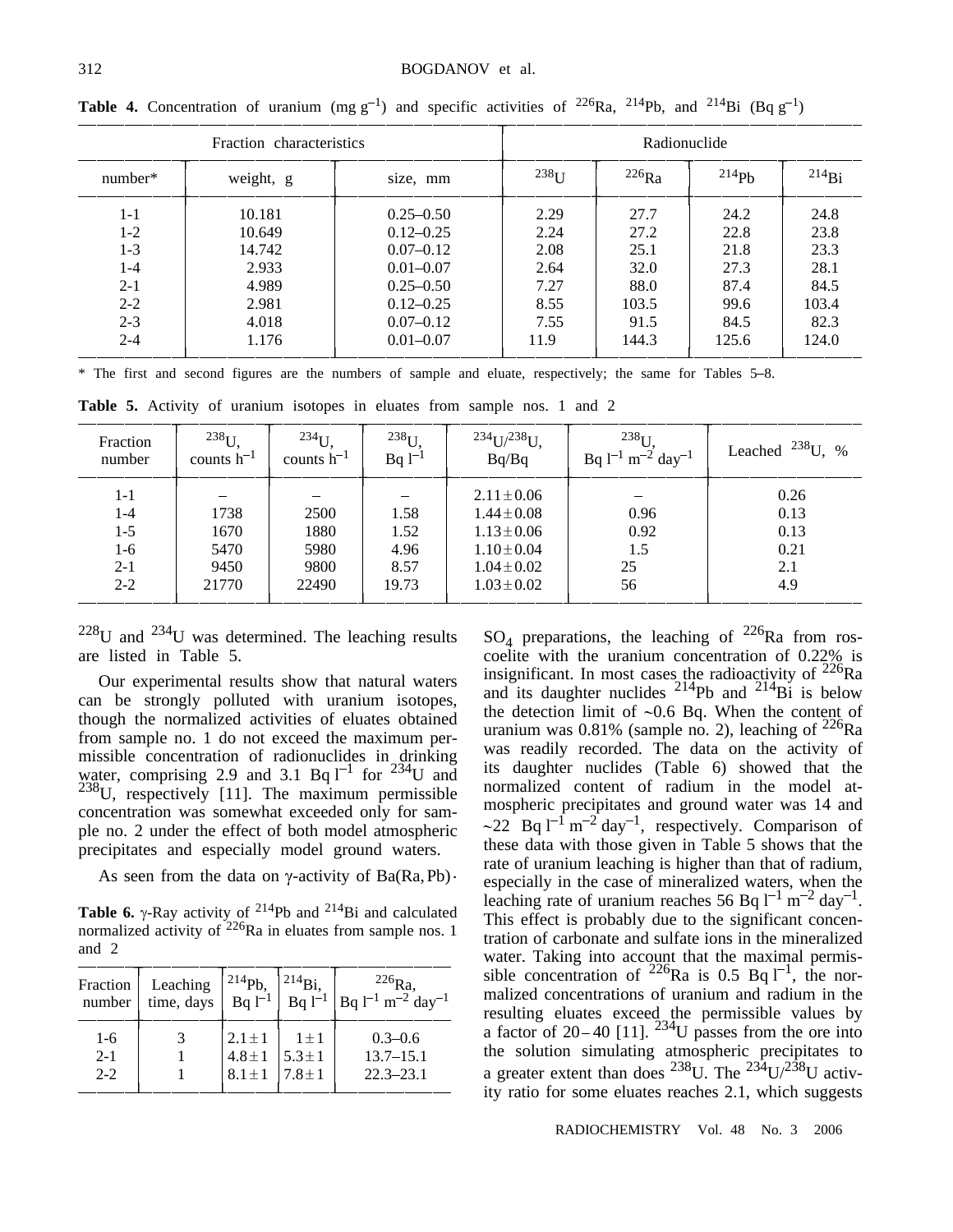| Fraction characteristics |           |               |                   | Radionuclide |       |             |
|--------------------------|-----------|---------------|-------------------|--------------|-------|-------------|
| number*                  | weight, g | size, mm      | 238 <sub>TT</sub> | $^{226}Ra$   | 214ph | $^{214}$ Bi |
| $1 - 1$                  | 10.181    | $0.25 - 0.50$ | 2.29              | 27.7         | 24.2  | 24.8        |
| $1-2$                    | 10.649    | $0.12 - 0.25$ | 2.24              | 27.2         | 22.8  | 23.8        |
| $1 - 3$                  | 14.742    | $0.07 - 0.12$ | 2.08              | 25.1         | 21.8  | 23.3        |
| $1 - 4$                  | 2.933     | $0.01 - 0.07$ | 2.64              | 32.0         | 27.3  | 28.1        |
| $2 - 1$                  | 4.989     | $0.25 - 0.50$ | 7.27              | 88.0         | 87.4  | 84.5        |
| $2 - 2$                  | 2.981     | $0.12 - 0.25$ | 8.55              | 103.5        | 99.6  | 103.4       |
| $2 - 3$                  | 4.018     | $0.07 - 0.12$ | 7.55              | 91.5         | 84.5  | 82.3        |
| $2 - 4$                  | 1.176     | $0.01 - 0.07$ | 11.9              | 144.3        | 125.6 | 124.0       |

**Table 4.** Concentration of uranium (mg  $g^{-1}$ ) and specific activities of <sup>226</sup>Ra, <sup>214</sup>Pb, and <sup>214</sup>Bi (Bq  $g^{-1}$ )

\* The first and second figures are the numbers of sample and eluate, respectively; the same for Tables 5-8.

**Table 5.** Activity of uranium isotopes in eluates from sample nos. 1 and 2

| Fraction<br>number | $^{238}$ U.<br>counts $h^{-1}$ | $234$ U<br>counts $h^{-1}$ | $238$ <sup>U</sup><br>$Bq1^{-1}$ | $234$ U/ $238$ U.<br>Bq/Bq | 238 <sub>I</sub><br>Bq $1^{-1}$ m <sup>-2</sup> day <sup>-1</sup> | $^{238}$ U, %<br>Leached |
|--------------------|--------------------------------|----------------------------|----------------------------------|----------------------------|-------------------------------------------------------------------|--------------------------|
| $1 - 1$            |                                |                            |                                  | $2.11 \pm 0.06$            |                                                                   | 0.26                     |
| $1 - 4$            | 1738                           | 2500                       | 1.58                             | $1.44 \pm 0.08$            | 0.96                                                              | 0.13                     |
| $1-5$              | 1670                           | 1880                       | 1.52                             | $1.13 \pm 0.06$            | 0.92                                                              | 0.13                     |
| $1-6$              | 5470                           | 5980                       | 4.96                             | $1.10 \pm 0.04$            | 1.5                                                               | 0.21                     |
| $2 - 1$            | 9450                           | 9800                       | 8.57                             | $1.04 \pm 0.02$            | 25                                                                | 2.1                      |
| $2 - 2$            | 21770                          | 22490                      | 19.73                            | $1.03 \pm 0.02$            | 56                                                                | 4.9                      |

 $228$ U and  $234$ U was determined. The leaching results are listed in Table 5.

Our experimental results show that natural waters can be strongly polluted with uranium isotopes, though the normalized activities of eluates obtained from sample no. 1 do not exceed the maximum permissible concentration of radionuclides in drinking water, comprising 2.9 and 3.1 Bq  $1^{-1}$  for  $2^{34}U$  and  $238$ U, respectively [11]. The maximum permissible concentration was somewhat exceeded only for sample no. 2 under the effect of both model atmospheric precipitates and especially model ground waters.

As seen from the data on  $\gamma$ -activity of Ba(Ra, Pb)  $\cdot$ 

**Table 6.**  $\gamma$ -Ray activity of <sup>214</sup>Pb and <sup>214</sup>Bi and calculated normalized activity of  $2^{26}$ Ra in eluates from sample nos. 1 and 2

| Fraction | Leaching   | $^{214}Pb.$   | $^{214}$ Bi | $^{226}$ Ra.                                    |
|----------|------------|---------------|-------------|-------------------------------------------------|
| number   | time, days | $Bq$ $1^{-1}$ | $Bq1^{-1}$  | $\log l^{-1}$ m <sup>-2</sup> day <sup>-1</sup> |
| $1 - 6$  |            | $2.1 + 1$     | $1 + 1$     | $0.3 - 0.6$                                     |
| $2 - 1$  |            | $4.8 \pm 1$   | $5.3 \pm 1$ | $13.7 - 15.1$                                   |
| $2 - 2$  |            | $8.1 \pm 1$   | $7.8 \pm 1$ | $22.3 - 23.1$                                   |

 $SO_4$  preparations, the leaching of <sup>226</sup>Ra from roscoelite with the uranium concentration of 0.22% is insignificant. In most cases the radioactivity of  $^{226}$ Ra and its daughter nuclides  $^{214}Pb$  and  $^{214}Bi$  is below the detection limit of  $\sim 0.6$  Bq. When the content of uranium was 0.81% (sample no. 2), leaching of  $^{226}Ra$ was readily recorded. The data on the activity of its daughter nuclides (Table 6) showed that the normalized content of radium in the model atmospheric precipitates and ground water was 14 and  $\sim$ 22 Bq l<sup>-1</sup> m<sup>-2</sup> day<sup>-1</sup>, respectively. Comparison of these data with those given in Table 5 shows that the rate of uranium leaching is higher than that of radium, especially in the case of mineralized waters, when the leaching rate of uranium reaches 56 Bq  $1^{-1}$  m<sup>-2</sup> day<sup>-1</sup>. This effect is probably due to the significant concentration of carbonate and sulfate ions in the mineralized water. Taking into account that the maximal permissible concentration of <sup>226</sup>Ra is 0.5 Bq  $1^{-1}$ , the normalized concentrations of uranium and radium in the resulting eluates exceed the permissible values by a factor of 20–40 [11]. <sup>234</sup>U passes from the ore into the solution simulating atmospheric precipitates to a greater extent than does  $^{238}$ U. The  $^{234}$ U/ $^{238}$ U activity ratio for some eluates reaches 2.1, which suggests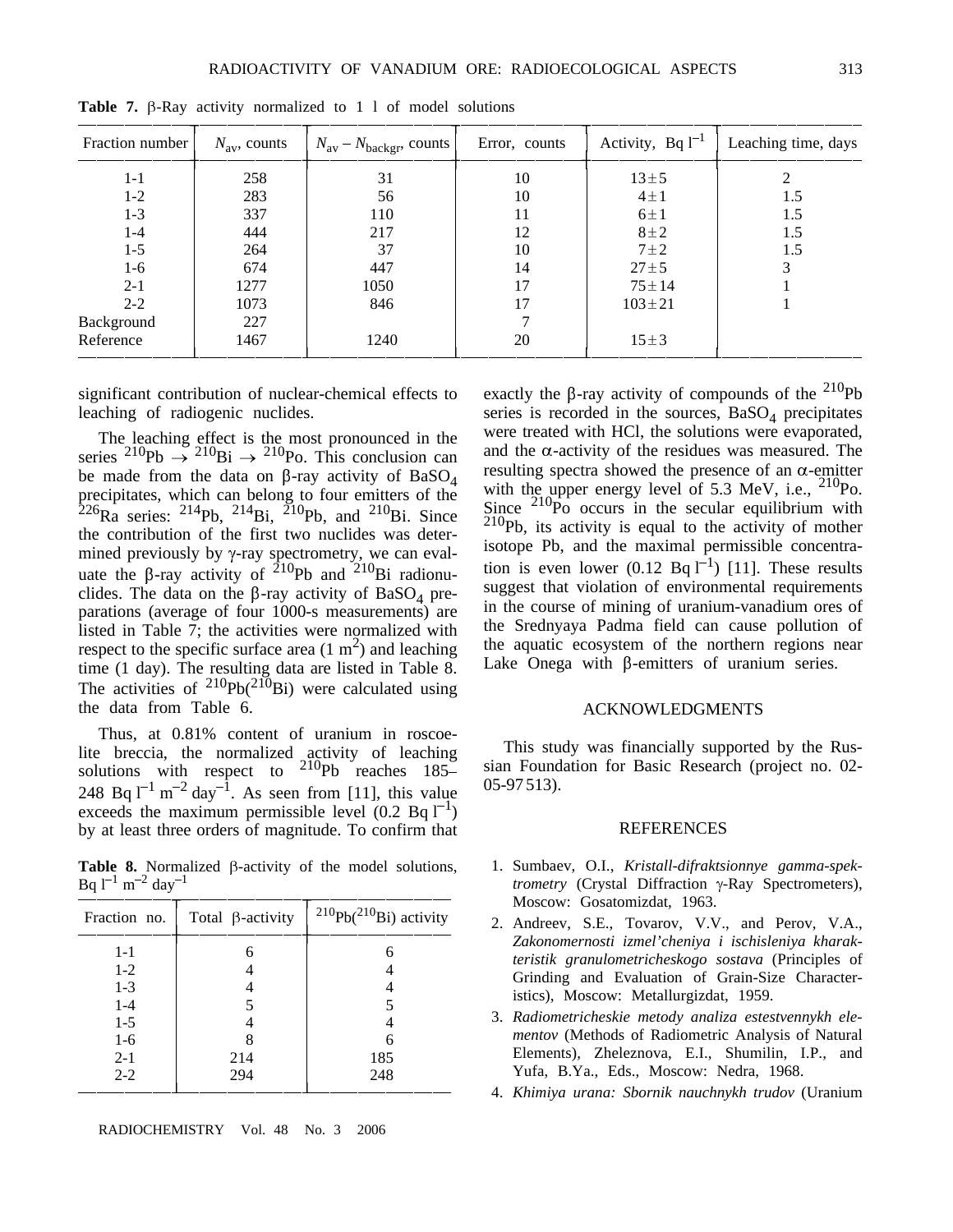| Fraction number | $N_{\rm av}$ , counts | $N_{\text{av}} - N_{\text{background}}$ counts | Error, counts | Activity, Bq $l^{-1}$ | Leaching time, days |
|-----------------|-----------------------|------------------------------------------------|---------------|-----------------------|---------------------|
| $1 - 1$         | 258                   | 31                                             | 10            | $13 + 5$              |                     |
| $1 - 2$         | 283                   | 56                                             | 10            | $4 \pm 1$             | 1.5                 |
| $1 - 3$         | 337                   | 110                                            | 11            | $6 \pm 1$             | 1.5                 |
| $1 - 4$         | 444                   | 217                                            | 12            | $8\pm2$               | 1.5                 |
| $1 - 5$         | 264                   | 37                                             | 10            | $7\pm2$               | 1.5                 |
| $1-6$           | 674                   | 447                                            | 14            | $27 + 5$              | 3                   |
| $2 - 1$         | 1277                  | 1050                                           | 17            | $75 \pm 14$           |                     |
| $2 - 2$         | 1073                  | 846                                            | 17            | $103 \pm 21$          |                     |
| Background      | 227                   |                                                |               |                       |                     |
| Reference       | 1467                  | 1240                                           | 20            | $15 \pm 3$            |                     |

**Table 7.**  $\beta$ -Ray activity normalized to 1 l of model solutions

significant contribution of nuclear-chemical effects to leaching of radiogenic nuclides.

The leaching effect is the most pronounced in the series <sup>210</sup>Pb  $\rightarrow$  <sup>210</sup>Bi  $\rightarrow$  <sup>210</sup>Po. This conclusion can be made from the data on  $\beta$ -ray activity of BaSO<sub>4</sub> precipitates, which can belong to four emitters of the  ${}^{226}$ Ra series: <sup>214</sup>Pb, <sup>214</sup>Bi, <sup>210</sup>Pb, and <sup>210</sup>Bi, Since the contribution of the first two nuclides was determined previously by  $\gamma$ -ray spectrometry, we can evaluate the  $\beta$ -ray activity of <sup>210</sup>Pb and <sup>210</sup>Bi radionuclides. The data on the  $\beta$ -ray activity of BaSO<sub>4</sub> preparations (average of four 1000-s measurements) are listed in Table 7; the activities were normalized with respect to the specific surface area  $(1 \text{ m}^2)$  and leaching time (1 day). The resulting data are listed in Table 8. The activities of  $^{210}Pb(^{210}Bi)$  were calculated using the data from Table 6.

Thus, at 0.81% content of uranium in roscoelite breccia, the normalized activity of leaching solutions with respect to  $^{210}Pb$  reaches  $185-$ 248 Bq  $1^{-1}$  m<sup>-2</sup> day<sup>-1</sup>. As seen from [11], this value exceeds the maximum permissible level  $(0.2 \text{ Bq } l^{-1})$ by at least three orders of magnitude. To confirm that

**Table 8.** Normalized  $\beta$ -activity of the model solutions, Bq  $1^{-1}$  m<sup>-2</sup> day<sup>-1</sup>

| Fraction no. | Total $\beta$ -activity | $^{210}Pb(^{210}Bi)$ activity |
|--------------|-------------------------|-------------------------------|
| $1 - 1$      | 6                       | 6                             |
| $1-2$        |                         |                               |
| $1-3$        |                         |                               |
| $1 - 4$      |                         |                               |
| $1-5$        |                         |                               |
| $1-6$        |                         |                               |
| $2 - 1$      | 214                     | 185                           |
| $2 - 2$      | 294                     | 248                           |

exactly the  $\beta$ -ray activity of compounds of the <sup>210</sup>Pb series is recorded in the sources,  $BaSO<sub>4</sub>$  precipitates were treated with HCl, the solutions were evaporated, and the  $\alpha$ -activity of the residues was measured. The resulting spectra showed the presence of an  $\alpha$ -emitter with the upper energy level of 5.3 MeV, i.e.,  $^{210}$ Po.<br>Since  $^{210}$ Po occurs in the secular equilibrium with  $\frac{210}{P}$ b, its activity is equal to the activity of mother isotope Pb, and the maximal permissible concentration is even lower  $(0.12 \text{ Bq } l^{-1})$  [11]. These results suggest that violation of environmental requirements in the course of mining of uranium-vanadium ores of the Srednyaya Padma field can cause pollution of the aquatic ecosystem of the northern regions near Lake Onega with  $\beta$ -emitters of uranium series.

#### ACKNOWLEDGMENTS

This study was financially supported by the Russian Foundation for Basic Research (project no. 02- 05-97 513).

#### REFERENCES

- 1. Sumbaev, O.I., *Kristall-difraktsionnye gamma-spektrometry* (Crystal Diffraction  $\gamma$ -Ray Spectrometers), Moscow: Gosatomizdat, 1963.
- 2. Andreev, S.E., Tovarov, V.V., and Perov, V.A., *Zakonomernosti izmel'cheniya i ischisleniya kharakteristik granulometricheskogo sostava* (Principles of Grinding and Evaluation of Grain-Size Characteristics), Moscow: Metallurgizdat, 1959.
- 3. *Radiometricheskie metody analiza estestvennykh elementov* (Methods of Radiometric Analysis of Natural Elements), Zheleznova, E.I., Shumilin, I.P., and Yufa, B.Ya., Eds., Moscow: Nedra, 1968.
- 4. *Khimiya urana: Sbornik nauchnykh trudov* (Uranium